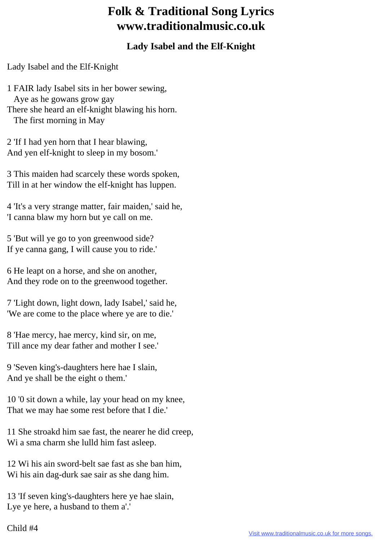## **Folk & Traditional Song Lyrics www.traditionalmusic.co.uk**

## **Lady Isabel and the Elf-Knight**

Lady Isabel and the Elf-Knight

1 FAIR lady Isabel sits in her bower sewing, Aye as he gowans grow gay There she heard an elf-knight blawing his horn. The first morning in May

2 'If I had yen horn that I hear blawing, And yen elf-knight to sleep in my bosom.'

3 This maiden had scarcely these words spoken, Till in at her window the elf-knight has luppen.

4 'It's a very strange matter, fair maiden,' said he, 'I canna blaw my horn but ye call on me.

5 'But will ye go to yon greenwood side? If ye canna gang, I will cause you to ride.'

6 He leapt on a horse, and she on another, And they rode on to the greenwood together.

7 'Light down, light down, lady Isabel,' said he, 'We are come to the place where ye are to die.'

8 'Hae mercy, hae mercy, kind sir, on me, Till ance my dear father and mother I see.'

9 'Seven king's-daughters here hae I slain, And ye shall be the eight o them.'

10 '0 sit down a while, lay your head on my knee, That we may hae some rest before that I die.'

11 She stroakd him sae fast, the nearer he did creep, Wi a sma charm she lulld him fast asleep.

12 Wi his ain sword-belt sae fast as she ban him, Wi his ain dag-durk sae sair as she dang him.

13 'If seven king's-daughters here ye hae slain, Lye ye here, a husband to them a'.'

## Child #4